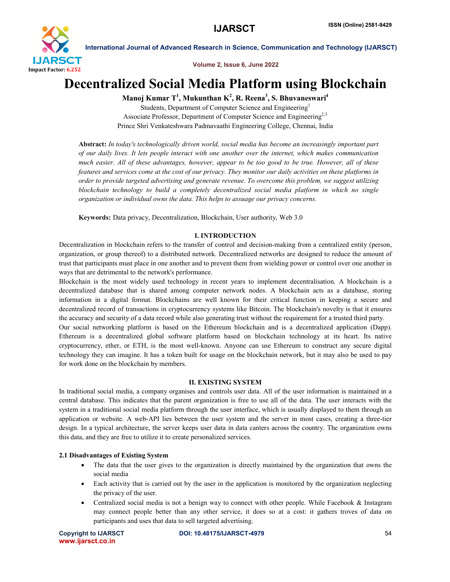

Volume 2, Issue 6, June 2022

# Decentralized Social Media Platform using Blockchain

Manoj Kumar T $^1$ , Mukunthan K $^2$ , R. Reena $^3$ , S. Bhuvaneswari $^4$ 

Students, Department of Computer Science and Engineering<sup>1</sup> Associate Professor, Department of Computer Science and Engineering<sup>2,3</sup> Prince Shri Venkateshwara Padmavaathi Engineering College, Chennai, India

Abstract: *In today's technologically driven world, social media has become an increasingly important part of our daily lives. It lets people interact with one another over the internet, which makes communication much easier. All of these advantages, however, appear to be too good to be true. However, all of these features and services come at the cost of our privacy. They monitor our daily activities on these platforms in order to provide targeted advertising and generate revenue. To overcome this problem, we suggest utilizing blockchain technology to build a completely decentralized social media platform in which no single organization or individual owns the data. This helps to assuage our privacy concerns.*

Keywords: Data privacy, Decentralization, Blockchain, User authority, Web 3.0

# I. INTRODUCTION

Decentralization in blockchain refers to the transfer of control and decision-making from a centralized entity (person, organization, or group thereof) to a distributed network. Decentralized networks are designed to reduce the amount of trust that participants must place in one another and to prevent them from wielding power or control over one another in ways that are detrimental to the network's performance.

Blockchain is the most widely used technology in recent years to implement decentralisation. A blockchain is a decentralized database that is shared among computer network nodes. A blockchain acts as a database, storing information in a digital format. Blockchains are well known for their critical function in keeping a secure and decentralized record of transactions in cryptocurrency systems like Bitcoin. The blockchain's novelty is that it ensures the accuracy and security of a data record while also generating trust without the requirement for a trusted third party.

Our social networking platform is based on the Ethereum blockchain and is a decentralized application (Dapp). Ethereum is a decentralized global software platform based on blockchain technology at its heart. Its native cryptocurrency, ether, or ETH, is the most well-known. Anyone can use Ethereum to construct any secure digital technology they can imagine. It has a token built for usage on the blockchain network, but it may also be used to pay for work done on the blockchain by members.

# II. EXISTING SYSTEM

In traditional social media, a company organises and controls user data. All of the user information is maintained in a central database. This indicates that the parent organization is free to use all of the data. The user interacts with the system in a traditional social media platform through the user interface, which is usually displayed to them through an application or website. A web-API lies between the user system and the server in most cases, creating a three-tier design. In a typical architecture, the server keeps user data in data canters across the country. The organization owns this data, and they are free to utilize it to create personalized services.

# 2.1 Disadvantages of Existing System

- The data that the user gives to the organization is directly maintained by the organization that owns the social media
- Each activity that is carried out by the user in the application is monitored by the organization neglecting the privacy of the user.
- Centralized social media is not a benign way to connect with other people. While Facebook & Instagram may connect people better than any other service, it does so at a cost: it gathers troves of data on participants and uses that data to sell targeted advertising.

www.ijarsct.co.in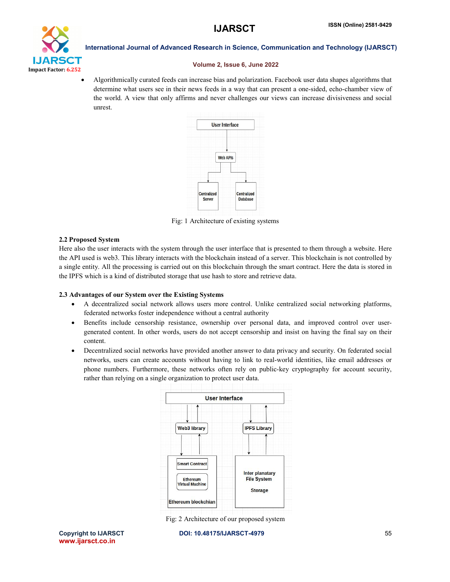

#### Volume 2, Issue 6, June 2022

 Algorithmically curated feeds can increase bias and polarization. Facebook user data shapes algorithms that determine what users see in their news feeds in a way that can present a one-sided, echo-chamber view of the world. A view that only affirms and never challenges our views can increase divisiveness and social unrest.



Fig: 1 Architecture of existing systems

#### 2.2 Proposed System

Here also the user interacts with the system through the user interface that is presented to them through a website. Here the API used is web3. This library interacts with the blockchain instead of a server. This blockchain is not controlled by a single entity. All the processing is carried out on this blockchain through the smart contract. Here the data is stored in the IPFS which is a kind of distributed storage that use hash to store and retrieve data.

#### 2.3 Advantages of our System over the Existing Systems

- A decentralized social network allows users more control. Unlike centralized social networking platforms, federated networks foster independence without a central authority
- Benefits include censorship resistance, ownership over personal data, and improved control over usergenerated content. In other words, users do not accept censorship and insist on having the final say on their content.
- Decentralized social networks have provided another answer to data privacy and security. On federated social networks, users can create accounts without having to link to real-world identities, like email addresses or phone numbers. Furthermore, these networks often rely on public-key cryptography for account security, rather than relying on a single organization to protect user data.



Fig: 2 Architecture of our proposed system

Copyright to IJARSCT DOI: 10.48175/IJARSCT-4979 **55**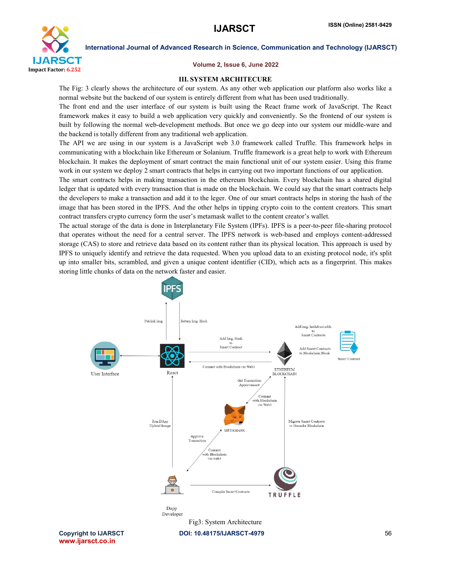

#### Volume 2, Issue 6, June 2022

#### III. SYSTEM ARCHITECURE

The Fig: 3 clearly shows the architecture of our system. As any other web application our platform also works like a normal website but the backend of our system is entirely different from what has been used traditionally.

The front end and the user interface of our system is built using the React frame work of JavaScript. The React framework makes it easy to build a web application very quickly and conveniently. So the frontend of our system is built by following the normal web-development methods. But once we go deep into our system our middle-ware and the backend is totally different from any traditional web application.

The API we are using in our system is a JavaScript web 3.0 framework called Truffle. This framework helps in communicating with a blockchain like Ethereum or Solanium. Truffle framework is a great help to work with Ethereum blockchain. It makes the deployment of smart contract the main functional unit of our system easier. Using this frame work in our system we deploy 2 smart contracts that helps in carrying out two important functions of our application.

The smart contracts helps in making transaction in the ethereum blockchain. Every blockchain has a shared digital ledger that is updated with every transaction that is made on the blockchain. We could say that the smart contracts help the developers to make a transaction and add it to the leger. One of our smart contracts helps in storing the hash of the image that has been stored in the IPFS. And the other helps in tipping crypto coin to the content creators. This smart contract transfers crypto currency form the user's metamask wallet to the content creator's wallet.

The actual storage of the data is done in Interplanetary File System (IPFs). IPFS is a peer-to-peer file-sharing protocol that operates without the need for a central server. The IPFS network is web-based and employs content-addressed storage (CAS) to store and retrieve data based on its content rather than its physical location. This approach is used by IPFS to uniquely identify and retrieve the data requested. When you upload data to an existing protocol node, it's split up into smaller bits, scrambled, and given a unique content identifier (CID), which acts as a fingerprint. This makes storing little chunks of data on the network faster and easier.

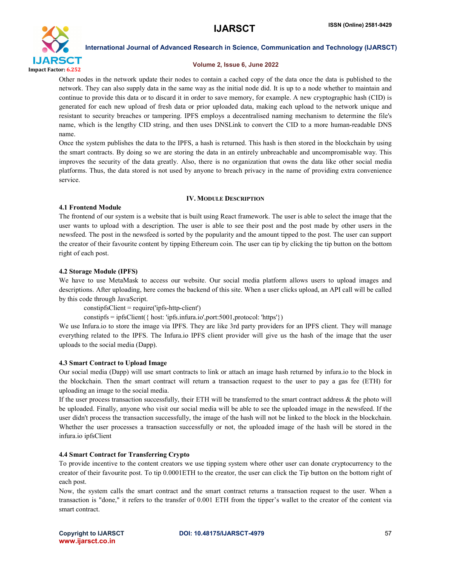

#### Volume 2, Issue 6, June 2022

Other nodes in the network update their nodes to contain a cached copy of the data once the data is published to the network. They can also supply data in the same way as the initial node did. It is up to a node whether to maintain and continue to provide this data or to discard it in order to save memory, for example. A new cryptographic hash (CID) is generated for each new upload of fresh data or prior uploaded data, making each upload to the network unique and resistant to security breaches or tampering. IPFS employs a decentralised naming mechanism to determine the file's name, which is the lengthy CID string, and then uses DNSLink to convert the CID to a more human-readable DNS name.

Once the system publishes the data to the IPFS, a hash is returned. This hash is then stored in the blockchain by using the smart contracts. By doing so we are storing the data in an entirely unbreachable and uncompromisable way. This improves the security of the data greatly. Also, there is no organization that owns the data like other social media platforms. Thus, the data stored is not used by anyone to breach privacy in the name of providing extra convenience service.

#### IV. MODULE DESCRIPTION

### 4.1 Frontend Module

The frontend of our system is a website that is built using React framework. The user is able to select the image that the user wants to upload with a description. The user is able to see their post and the post made by other users in the newsfeed. The post in the newsfeed is sorted by the popularity and the amount tipped to the post. The user can support the creator of their favourite content by tipping Ethereum coin. The user can tip by clicking the tip button on the bottom right of each post.

### 4.2 Storage Module (IPFS)

We have to use MetaMask to access our website. Our social media platform allows users to upload images and descriptions. After uploading, here comes the backend of this site. When a user clicks upload, an API call will be called by this code through JavaScript.

constipfsClient = require('ipfs-http-client')

constipfs = ipfsClient({ host: 'ipfs.infura.io',port:5001,protocol: 'https'})

We use Infura.io to store the image via IPFS. They are like 3rd party providers for an IPFS client. They will manage everything related to the IPFS. The Infura.io IPFS client provider will give us the hash of the image that the user uploads to the social media (Dapp).

#### 4.3 Smart Contract to Upload Image

Our social media (Dapp) will use smart contracts to link or attach an image hash returned by infura.io to the block in the blockchain. Then the smart contract will return a transaction request to the user to pay a gas fee (ETH) for uploading an image to the social media.

If the user process transaction successfully, their ETH will be transferred to the smart contract address  $\&$  the photo will be uploaded. Finally, anyone who visit our social media will be able to see the uploaded image in the newsfeed. If the user didn't process the transaction successfully, the image of the hash will not be linked to the block in the blockchain. Whether the user processes a transaction successfully or not, the uploaded image of the hash will be stored in the infura.io ipfsClient

#### 4.4 Smart Contract for Transferring Crypto

To provide incentive to the content creators we use tipping system where other user can donate cryptocurrency to the creator of their favourite post. To tip 0.0001ETH to the creator, the user can click the Tip button on the bottom right of each post.

Now, the system calls the smart contract and the smart contract returns a transaction request to the user. When a transaction is "done," it refers to the transfer of 0.001 ETH from the tipper's wallet to the creator of the content via smart contract.